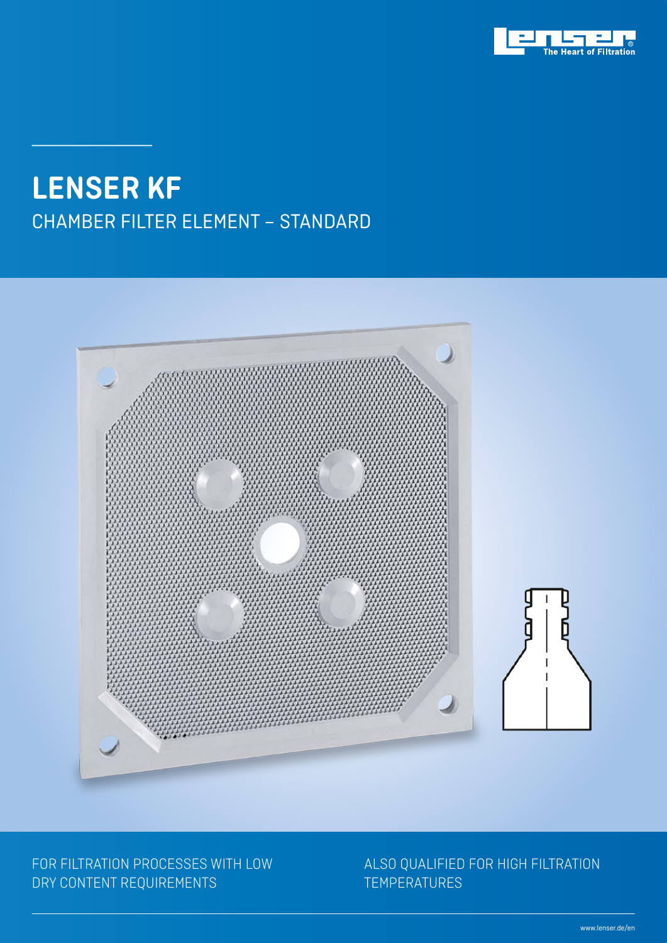

## CHAMBER FILTER ELEMENT – STANDARD **LENSER KF**



#### FOR FILTRATION PROCESSES WITH LOW DRY CONTENT REQUIREMENTS

#### ALSO QUALIFIED FOR HIGH FILTRATION TEMPERATURES

www.lenser.de/en